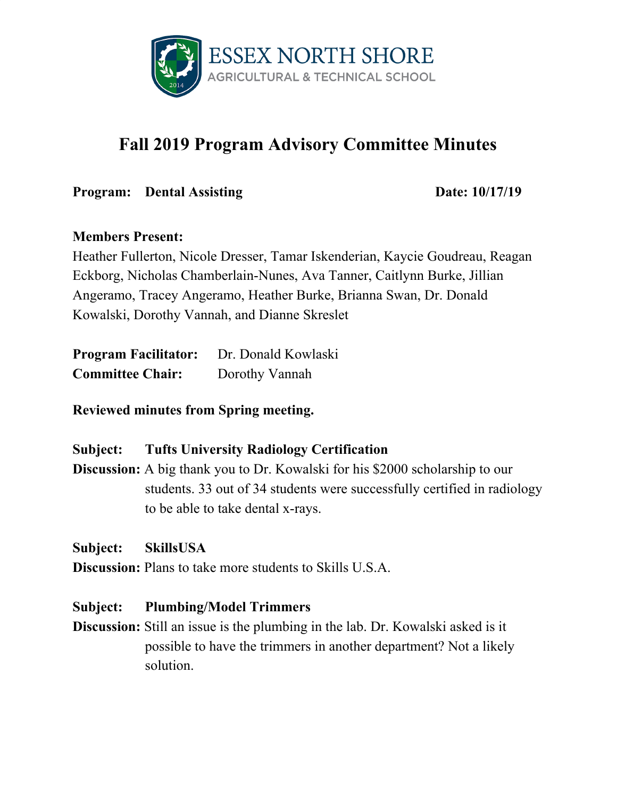

# **Fall 2019 Program Advisory Committee Minutes**

**Program:** Dental Assisting Date:  $10/17/19$ 

## **Members Present:**

Heather Fullerton, Nicole Dresser, Tamar Iskenderian, Kaycie Goudreau, Reagan Eckborg, Nicholas Chamberlain-Nunes, Ava Tanner, Caitlynn Burke, Jillian Angeramo, Tracey Angeramo, Heather Burke, Brianna Swan, Dr. Donald Kowalski, Dorothy Vannah, and Dianne Skreslet

| <b>Program Facilitator:</b> | Dr. Donald Kowlaski |
|-----------------------------|---------------------|
| <b>Committee Chair:</b>     | Dorothy Vannah      |

**Reviewed minutes from Spring meeting.**

# **Subject: Tufts University Radiology Certification**

**Discussion:** A big thank you to Dr. Kowalski for his \$2000 scholarship to our students. 33 out of 34 students were successfully certified in radiology to be able to take dental x-rays.

**Subject: SkillsUSA**

**Discussion:** Plans to take more students to Skills U.S.A.

### **Subject: Plumbing/Model Trimmers**

**Discussion:** Still an issue is the plumbing in the lab. Dr. Kowalski asked is it possible to have the trimmers in another department? Not a likely solution.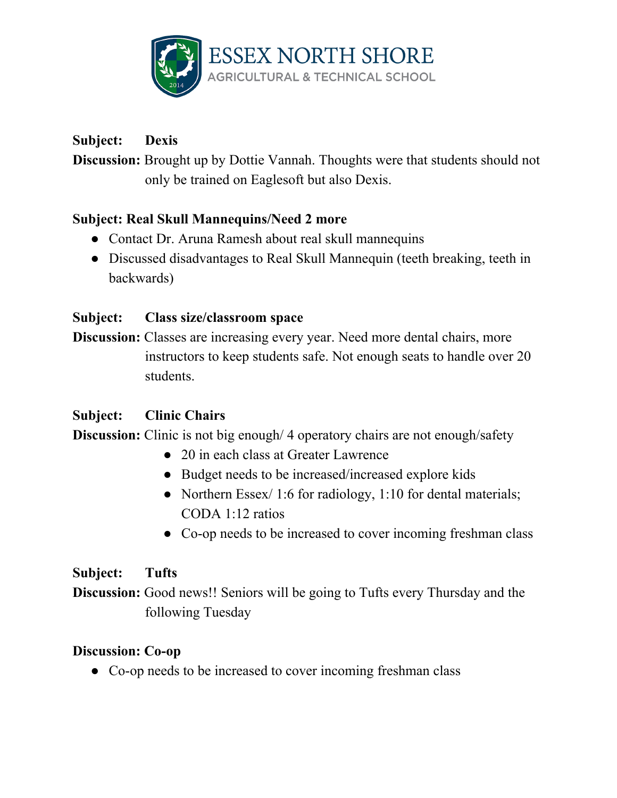

# **Subject: Dexis**

**Discussion:** Brought up by Dottie Vannah. Thoughts were that students should not only be trained on Eaglesoft but also Dexis.

# **Subject: Real Skull Mannequins/Need 2 more**

- Contact Dr. Aruna Ramesh about real skull mannequins
- Discussed disadvantages to Real Skull Mannequin (teeth breaking, teeth in backwards)

## **Subject: Class size/classroom space**

**Discussion:** Classes are increasing every year. Need more dental chairs, more instructors to keep students safe. Not enough seats to handle over 20 students.

### **Subject: Clinic Chairs**

**Discussion:** Clinic is not big enough/4 operatory chairs are not enough/safety

- 20 in each class at Greater Lawrence
- Budget needs to be increased/increased explore kids
- Northern Essex/ 1:6 for radiology, 1:10 for dental materials; CODA 1:12 ratios
- Co-op needs to be increased to cover incoming freshman class

### **Subject: Tufts**

**Discussion:** Good news!! Seniors will be going to Tufts every Thursday and the following Tuesday

### **Discussion: Co-op**

• Co-op needs to be increased to cover incoming freshman class